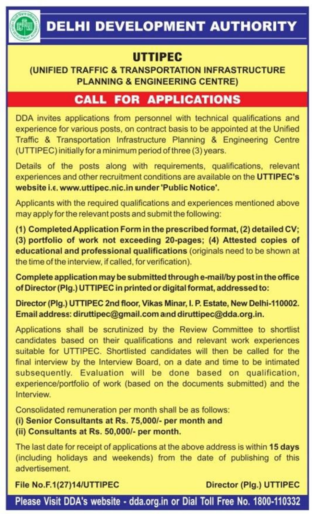

# UTTIPEC

### (UNIFIED TRAFFIC & TRANSPORTATION INFRASTRUCTURE **PLANNING & ENGINEERING CENTRE)**

## **CALL FOR APPLICATIONS**

DDA invites applications from personnel with technical qualifications and experience for various posts, on contract basis to be appointed at the Unified Traffic & Transportation Infrastructure Planning & Engineering Centre (UTTIPEC) initially for a minimum period of three (3) years.

Details of the posts along with requirements, qualifications, relevant experiences and other recruitment conditions are available on the UTTIPEC's website i.e. www.uttipec.nic.in under 'Public Notice'.

Applicants with the required qualifications and experiences mentioned above may apply for the relevant posts and submit the following:

(1) Completed Application Form in the prescribed format, (2) detailed CV; (3) portfolio of work not exceeding 20-pages; (4) Attested copies of educational and professional qualifications (originals need to be shown at the time of the interview, if called, for verification).

Complete application may be submitted through e-mail/by post in the office of Director (Plg.) UTTIPEC in printed or digital format, addressed to:

Director (Plg.) UTTIPEC 2nd floor, Vikas Minar, I. P. Estate, New Delhi-110002. Email address: diruttipec@gmail.com and diruttipec@dda.org.in.

Applications shall be scrutinized by the Review Committee to shortlist candidates based on their qualifications and relevant work experiences suitable for UTTIPEC. Shortlisted candidates will then be called for the final interview by the Interview Board, on a date and time to be intimated subsequently. Evaluation will be done based on qualification, experience/portfolio of work (based on the documents submitted) and the Interview.

Consolidated remuneration per month shall be as follows:

(i) Senior Consultants at Rs. 75,000/- per month and (ii) Consultants at Rs. 50,000/- per month.

The last date for receipt of applications at the above address is within 15 days (including holidays and weekends) from the date of publishing of this advertisement.

File No.F.1(27)14/UTTIPEC

Director (Plg.) UTTIPEC

Please Visit DDA's website - dda.org.in or Dial Toll Free No. 1800-110332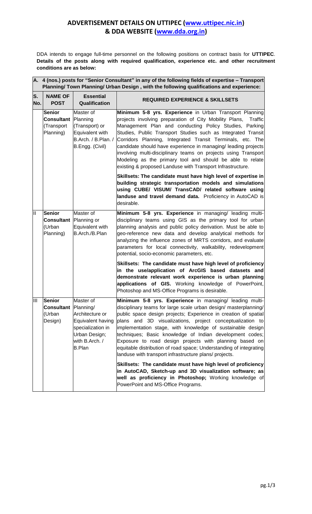#### **ADVERTISEMENT DETAILS ON UTTIPEC (www.uttipec.nic.in) & DDA WEBSITE (www.dda.org.in)**

DDA intends to engage full-time personnel on the following positions on contract basis for **UTTIPEC**. **Details of the posts along with required qualification, experience etc. and other recruitment conditions are as below:**

|                         | A. 4 (nos.) posts for "Senior Consultant" in any of the following fields of expertise - Transport<br>Planning/ Town Planning/ Urban Design, with the following qualifications and experience: |                                                                                                                            |                                                                                                                                                                                                                                                                                                                                                                                                                                                                                                                                                                                     |  |  |  |  |  |  |
|-------------------------|-----------------------------------------------------------------------------------------------------------------------------------------------------------------------------------------------|----------------------------------------------------------------------------------------------------------------------------|-------------------------------------------------------------------------------------------------------------------------------------------------------------------------------------------------------------------------------------------------------------------------------------------------------------------------------------------------------------------------------------------------------------------------------------------------------------------------------------------------------------------------------------------------------------------------------------|--|--|--|--|--|--|
| S.<br>No.               | <b>NAME OF</b><br><b>POST</b>                                                                                                                                                                 | <b>Essential</b><br>Qualification                                                                                          | <b>REQUIRED EXPERIENCE &amp; SKILLSETS</b>                                                                                                                                                                                                                                                                                                                                                                                                                                                                                                                                          |  |  |  |  |  |  |
|                         | <b>Senior</b><br><b>Consultant</b><br>(Transport<br>Planning)                                                                                                                                 | Master of<br>Planning<br>(Transport) or<br>Equivalent with<br>B.Arch. / B.Plan. /<br>B.Engg. (Civil)                       | Minimum 5-8 yrs. Experience in Urban Transport Planning<br>projects involving preparation of City Mobility Plans,<br>Traffic<br>Management Plan and conducting Policy Studies, Parking<br>Studies, Public Transport Studies such as Integrated Transit<br>Corridors Planning, Integrated Transit Terminals, etc. The<br>candidate should have experience in managing/ leading projects<br>involving multi-disciplinary teams on projects using Transport<br>Modeling as the primary tool and should be able to relate<br>existing & proposed Landuse with Transport Infrastructure. |  |  |  |  |  |  |
|                         |                                                                                                                                                                                               |                                                                                                                            | Skillsets: The candidate must have high level of expertise in<br>building strategic transportation models and simulations<br>using CUBE/ VISUM/ TransCAD/ related software using<br>landuse and travel demand data. Proficiency in AutoCAD is<br>desirable.                                                                                                                                                                                                                                                                                                                         |  |  |  |  |  |  |
| $\overline{\mathsf{I}}$ | <b>Senior</b><br><b>Consultant</b><br>(Urban<br>Planning)                                                                                                                                     | Master of<br>Planning or<br>Equivalent with<br>B.Arch./B.Plan                                                              | Minimum 5-8 yrs. Experience in managing/ leading multi-<br>disciplinary teams using GIS as the primary tool for urban<br>planning analysis and public policy derivation. Must be able to<br>geo-reference new data and develop analytical methods for<br>analyzing the influence zones of MRTS corridors, and evaluate<br>parameters for local connectivity, walkability, redevelopment<br>potential, socio-economic parameters, etc.                                                                                                                                               |  |  |  |  |  |  |
|                         |                                                                                                                                                                                               |                                                                                                                            | Skillsets: The candidate must have high level of proficiency<br>in the use/application of ArcGIS based datasets and<br>demonstrate relevant work experience is urban planning<br>applications of GIS. Working knowledge of PowerPoint,<br>Photoshop and MS-Office Programs is desirable.                                                                                                                                                                                                                                                                                            |  |  |  |  |  |  |
| Ш                       | <b>Senior</b><br><b>Consultant</b>   Planning/<br>(Urban<br>Design)                                                                                                                           | Master of<br>Architecture or<br>Equivalent having<br>specialization in<br>Urban Design;<br>with B.Arch. /<br><b>B.Plan</b> | Minimum 5-8 yrs. Experience in managing/ leading multi-<br>disciplinary teams for large scale urban design/ masterplanning/<br>public space design projects; Experience in creation of spatial<br>plans and 3D visualizations, project conceptualization to<br>implementation stage, with knowledge of sustainable design<br>techniques; Basic knowledge of Indian development codes;<br>Exposure to road design projects with planning based on<br>equitable distribution of road space; Understanding of integrating<br>landuse with transport infrastructure plans/ projects.    |  |  |  |  |  |  |
|                         |                                                                                                                                                                                               |                                                                                                                            | Skillsets: The candidate must have high level of proficiency<br>in AutoCAD, Sketch-up and 3D visualization software; as<br>well as proficiency in Photoshop; Working knowledge of<br>PowerPoint and MS-Office Programs.                                                                                                                                                                                                                                                                                                                                                             |  |  |  |  |  |  |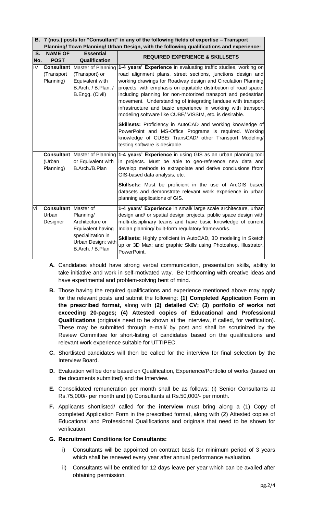#### **B. 7 (nos.) posts for "Consultant" in any of the following fields of expertise – Transport Planning/ Town Planning/ Urban Design, with the following qualifications and experience:**

| S.                      | <b>NAME OF</b>                         | <b>Essential</b>                                                                                                              | <b>REQUIRED EXPERIENCE &amp; SKILLSETS</b>                                                                                                                                                                                                                                                                                                                                                                                                                                                                                       |  |  |
|-------------------------|----------------------------------------|-------------------------------------------------------------------------------------------------------------------------------|----------------------------------------------------------------------------------------------------------------------------------------------------------------------------------------------------------------------------------------------------------------------------------------------------------------------------------------------------------------------------------------------------------------------------------------------------------------------------------------------------------------------------------|--|--|
| No.                     | <b>POST</b>                            | Qualification                                                                                                                 |                                                                                                                                                                                                                                                                                                                                                                                                                                                                                                                                  |  |  |
| $\overline{\mathsf{N}}$ | Consultant<br>(Transport<br>Planning)  | Master of Planning<br>(Transport) or<br>Equivalent with<br>B.Arch. / B.Plan. /<br>B.Engg. (Civil)                             | 1-4 years' Experience in evaluating traffic studies, working on<br>road alignment plans, street sections, junctions design and<br>working drawings for Roadway design and Circulation Planning<br>projects, with emphasis on equitable distribution of road space,<br>including planning for non-motorized transport and pedestrian<br>movement. Understanding of integrating landuse with transport<br>infrastructure and basic experience in working with transport<br>modeling software like CUBE/ VISSIM, etc. is desirable. |  |  |
|                         |                                        |                                                                                                                               | Skillsets: Proficiency in AutoCAD and working knowledge of<br>PowerPoint and MS-Office Programs is required. Working<br>knowledge of CUBE/ TransCAD/ other Transport Modeling/<br>testing software is desirable.                                                                                                                                                                                                                                                                                                                 |  |  |
|                         | (Urban<br>Planning)                    | <b>Consultant   Master of Planning</b><br>or Equivalent with<br>B.Arch./B.Plan                                                | 1-4 years' Experience in using GIS as an urban planning tool<br>in projects. Must be able to geo-reference new data and<br>develop methods to extrapolate and derive conclusions ffrom<br>GIS-based data analysis, etc.                                                                                                                                                                                                                                                                                                          |  |  |
|                         |                                        |                                                                                                                               | Skillsets: Must be proficient in the use of ArcGIS based<br>datasets and demonstrate relevant work experience in urban<br>planning applications of GIS.                                                                                                                                                                                                                                                                                                                                                                          |  |  |
| vi                      | <b>Consultant</b><br>Urban<br>Designer | Master of<br>Planning/<br>Architecture or<br>Equivalent having<br>specialization in<br>Urban Design; with<br>B.Arch. / B.Plan | 1-4 years' Experience in small/ large scale architecture, urban<br>design and/ or spatial design projects, public space design with<br>multi-disciplinary teams and have basic knowledge of current<br>Indian planning/ built-form regulatory frameworks.<br>Skillsets: Highly proficient in AutoCAD, 3D modeling in Sketch                                                                                                                                                                                                      |  |  |
|                         |                                        |                                                                                                                               | up or 3D Max; and graphic Skills using Photoshop, Illustrator,<br>PowerPoint.                                                                                                                                                                                                                                                                                                                                                                                                                                                    |  |  |

- **A.** Candidates should have strong verbal communication, presentation skills, ability to take initiative and work in self-motivated way. Be forthcoming with creative ideas and have experimental and problem-solving bent of mind.
- **B.** Those having the required qualifications and experience mentioned above may apply for the relevant posts and submit the following: **(1) Completed Application Form in the prescribed format,** along with **(2) detailed CV; (3) portfolio of works not exceeding 20-pages; (4) Attested copies of Educational and Professional Qualifications** (originals need to be shown at the interview, if called, for verification). These may be submitted through e-mail/ by post and shall be scrutinized by the Review Committee for short-listing of candidates based on the qualifications and relevant work experience suitable for UTTIPEC.
- **C.** Shortlisted candidates will then be called for the interview for final selection by the Interview Board.
- **D.** Evaluation will be done based on Qualification, Experience/Portfolio of works (based on the documents submitted) and the Interview.
- **E.** Consolidated remuneration per month shall be as follows: (i) Senior Consultants at Rs.75,000/- per month and (ii) Consultants at Rs.50,000/- per month.
- **F.** Applicants shortlisted/ called for the **interview** must bring along a (1) Copy of completed Application Form in the prescribed format, along with (2) Attested copies of Educational and Professional Qualifications and originals that need to be shown for verification.
- **G. Recruitment Conditions for Consultants:**
	- i) Consultants will be appointed on contract basis for minimum period of 3 years which shall be renewed every year after annual performance evaluation.
	- ii) Consultants will be entitled for 12 days leave per year which can be availed after obtaining permission.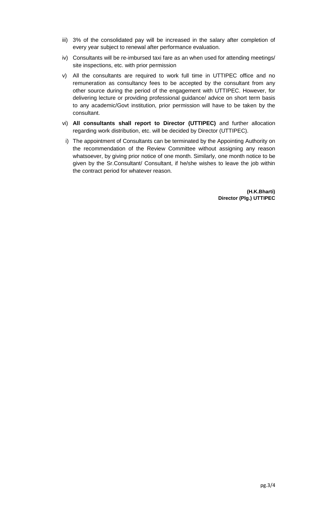- iii) 3% of the consolidated pay will be increased in the salary after completion of every year subject to renewal after performance evaluation.
- iv) Consultants will be re-imbursed taxi fare as an when used for attending meetings/ site inspections, etc. with prior permission
- v) All the consultants are required to work full time in UTTIPEC office and no remuneration as consultancy fees to be accepted by the consultant from any other source during the period of the engagement with UTTIPEC. However, for delivering lecture or providing professional guidance/ advice on short term basis to any academic/Govt institution, prior permission will have to be taken by the consultant.
- vi) **All consultants shall report to Director (UTTIPEC)** and further allocation regarding work distribution, etc. will be decided by Director (UTTIPEC).
- i) The appointment of Consultants can be terminated by the Appointing Authority on the recommendation of the Review Committee without assigning any reason whatsoever, by giving prior notice of one month. Similarly, one month notice to be given by the Sr.Consultant/ Consultant, if he/she wishes to leave the job within the contract period for whatever reason.

**(H.K.Bharti) Director (Plg.) UTTIPEC**